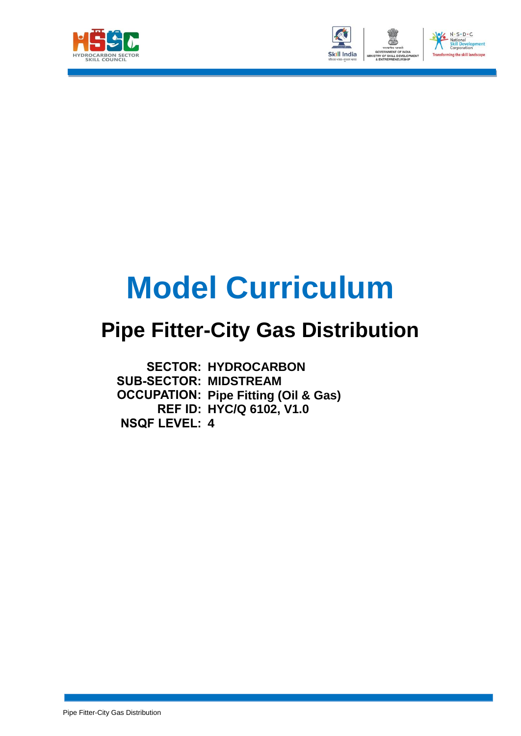



# **Model Curriculum**

## **Pipe Fitter-City Gas Distribution**

**SECTOR: HYDROCARBON SUB-SECTOR: MIDSTREAM OCCUPATION: Pipe Fitting (Oil & Gas) REF ID: HYC/Q 6102, V1.0 NSQF LEVEL: 4**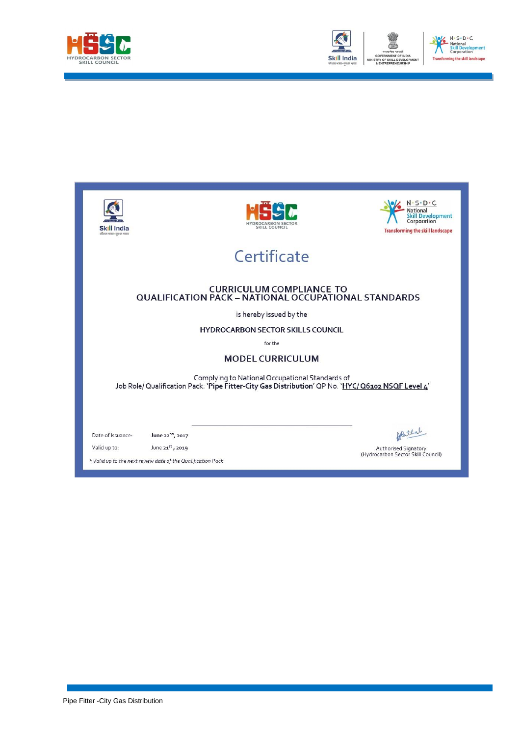



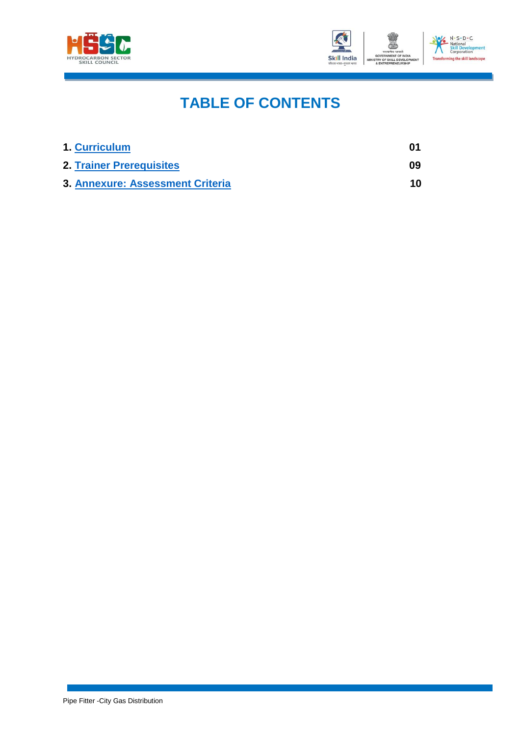



### **TABLE OF CONTENTS**

| 1. Curriculum                    | 01 |
|----------------------------------|----|
| <b>2. Trainer Prerequisites</b>  | 09 |
| 3. Annexure: Assessment Criteria | 10 |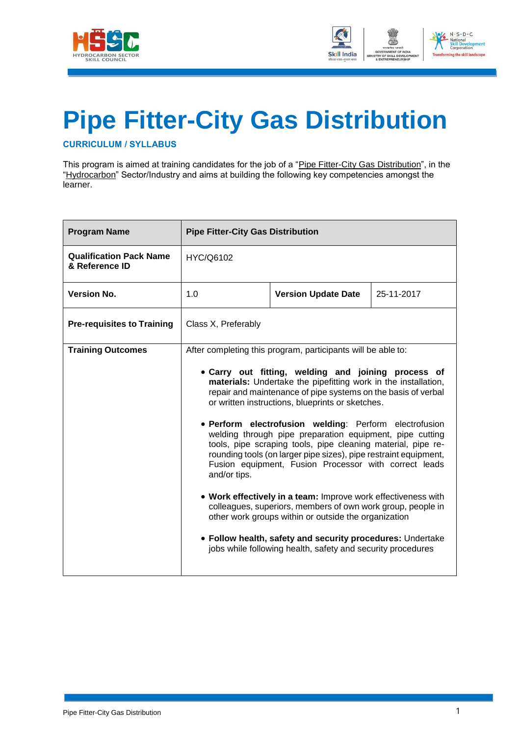



## **Pipe Fitter-City Gas Distribution**

<span id="page-3-0"></span>**CURRICULUM / SYLLABUS**

This program is aimed at training candidates for the job of a "Pipe Fitter-City Gas Distribution", in the "Hydrocarbon" Sector/Industry and aims at building the following key competencies amongst the learner.

| <b>Program Name</b>                              | <b>Pipe Fitter-City Gas Distribution</b>                                                                                                                                                                                                                                                                                                                                                                                                                                                                                                                                                                                                                                                                                                                                                                                                                                                                                                                           |  |  |  |  |
|--------------------------------------------------|--------------------------------------------------------------------------------------------------------------------------------------------------------------------------------------------------------------------------------------------------------------------------------------------------------------------------------------------------------------------------------------------------------------------------------------------------------------------------------------------------------------------------------------------------------------------------------------------------------------------------------------------------------------------------------------------------------------------------------------------------------------------------------------------------------------------------------------------------------------------------------------------------------------------------------------------------------------------|--|--|--|--|
| <b>Qualification Pack Name</b><br>& Reference ID | HYC/Q6102                                                                                                                                                                                                                                                                                                                                                                                                                                                                                                                                                                                                                                                                                                                                                                                                                                                                                                                                                          |  |  |  |  |
| <b>Version No.</b>                               | 1.0<br>25-11-2017<br><b>Version Update Date</b>                                                                                                                                                                                                                                                                                                                                                                                                                                                                                                                                                                                                                                                                                                                                                                                                                                                                                                                    |  |  |  |  |
| <b>Pre-requisites to Training</b>                | Class X, Preferably                                                                                                                                                                                                                                                                                                                                                                                                                                                                                                                                                                                                                                                                                                                                                                                                                                                                                                                                                |  |  |  |  |
| <b>Training Outcomes</b>                         |                                                                                                                                                                                                                                                                                                                                                                                                                                                                                                                                                                                                                                                                                                                                                                                                                                                                                                                                                                    |  |  |  |  |
|                                                  | After completing this program, participants will be able to:<br>• Carry out fitting, welding and joining process of<br>materials: Undertake the pipefitting work in the installation,<br>repair and maintenance of pipe systems on the basis of verbal<br>or written instructions, blueprints or sketches.<br>· Perform electrofusion welding: Perform electrofusion<br>welding through pipe preparation equipment, pipe cutting<br>tools, pipe scraping tools, pipe cleaning material, pipe re-<br>rounding tools (on larger pipe sizes), pipe restraint equipment,<br>Fusion equipment, Fusion Processor with correct leads<br>and/or tips.<br>• Work effectively in a team: Improve work effectiveness with<br>colleagues, superiors, members of own work group, people in<br>other work groups within or outside the organization<br>• Follow health, safety and security procedures: Undertake<br>jobs while following health, safety and security procedures |  |  |  |  |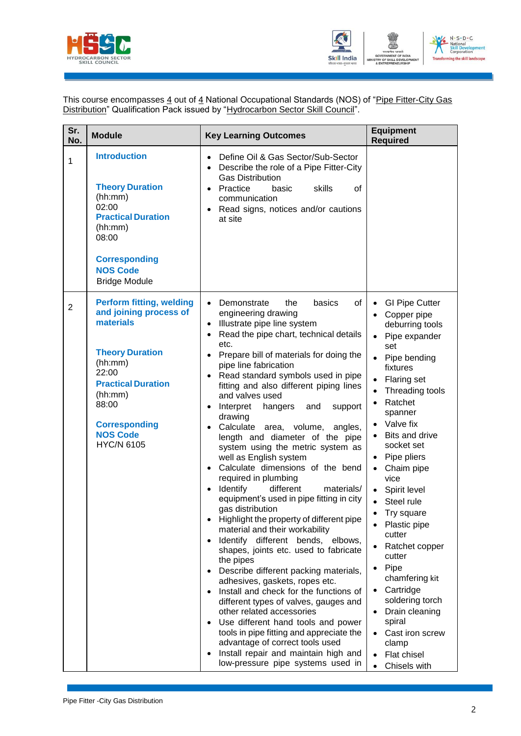



This course encompasses  $\underline{4}$  out of  $\underline{4}$  National Occupational Standards (NOS) of "<u>Pipe Fitter-City Gas</u> Distribution" Qualification Pack issued by "Hydrocarbon Sector Skill Council".

| Sr.<br>No.     | <b>Module</b>                                                                                                                                                                                                                         | <b>Key Learning Outcomes</b>                                                                                                                                                                                                                                                                                                                                                                                                                                                                                                                                                                                                                                                                                                                                                                                                                                                                                                                                                                                                                                                                                                                                                                                                                                                                                                              | <b>Equipment</b><br><b>Required</b>                                                                                                                                                                                                                                                                                                                                                                                                                                                                                                                                                                                                                                                                          |
|----------------|---------------------------------------------------------------------------------------------------------------------------------------------------------------------------------------------------------------------------------------|-------------------------------------------------------------------------------------------------------------------------------------------------------------------------------------------------------------------------------------------------------------------------------------------------------------------------------------------------------------------------------------------------------------------------------------------------------------------------------------------------------------------------------------------------------------------------------------------------------------------------------------------------------------------------------------------------------------------------------------------------------------------------------------------------------------------------------------------------------------------------------------------------------------------------------------------------------------------------------------------------------------------------------------------------------------------------------------------------------------------------------------------------------------------------------------------------------------------------------------------------------------------------------------------------------------------------------------------|--------------------------------------------------------------------------------------------------------------------------------------------------------------------------------------------------------------------------------------------------------------------------------------------------------------------------------------------------------------------------------------------------------------------------------------------------------------------------------------------------------------------------------------------------------------------------------------------------------------------------------------------------------------------------------------------------------------|
| 1              | <b>Introduction</b><br><b>Theory Duration</b><br>(hh:mm)<br>02:00<br><b>Practical Duration</b><br>(hh:mm)<br>08:00<br><b>Corresponding</b><br><b>NOS Code</b><br><b>Bridge Module</b>                                                 | Define Oil & Gas Sector/Sub-Sector<br>$\bullet$<br>Describe the role of a Pipe Fitter-City<br>$\bullet$<br><b>Gas Distribution</b><br>Practice<br>skills<br>οf<br>basic<br>$\bullet$<br>communication<br>Read signs, notices and/or cautions<br>at site                                                                                                                                                                                                                                                                                                                                                                                                                                                                                                                                                                                                                                                                                                                                                                                                                                                                                                                                                                                                                                                                                   |                                                                                                                                                                                                                                                                                                                                                                                                                                                                                                                                                                                                                                                                                                              |
| $\overline{2}$ | <b>Perform fitting, welding</b><br>and joining process of<br>materials<br><b>Theory Duration</b><br>(hh:mm)<br>22:00<br><b>Practical Duration</b><br>(hh:mm)<br>88:00<br><b>Corresponding</b><br><b>NOS Code</b><br><b>HYC/N 6105</b> | basics<br>of<br>Demonstrate<br>the<br>$\bullet$<br>engineering drawing<br>Illustrate pipe line system<br>$\bullet$<br>Read the pipe chart, technical details<br>etc.<br>Prepare bill of materials for doing the<br>pipe line fabrication<br>Read standard symbols used in pipe<br>fitting and also different piping lines<br>and valves used<br>Interpret<br>and<br>support<br>hangers<br>$\bullet$<br>drawing<br>Calculate area, volume,<br>angles,<br>length and diameter of the pipe<br>system using the metric system as<br>well as English system<br>Calculate dimensions of the bend<br>$\bullet$<br>required in plumbing<br>Identify<br>different<br>materials/<br>$\bullet$<br>equipment's used in pipe fitting in city<br>gas distribution<br>Highlight the property of different pipe<br>material and their workability<br>Identify different bends,<br>elbows,<br>$\bullet$<br>shapes, joints etc. used to fabricate<br>the pipes<br>Describe different packing materials,<br>adhesives, gaskets, ropes etc.<br>Install and check for the functions of<br>different types of valves, gauges and<br>other related accessories<br>Use different hand tools and power<br>tools in pipe fitting and appreciate the<br>advantage of correct tools used<br>Install repair and maintain high and<br>low-pressure pipe systems used in | <b>GI Pipe Cutter</b><br>$\bullet$<br>Copper pipe<br>$\bullet$<br>deburring tools<br>Pipe expander<br>$\bullet$<br>set<br>Pipe bending<br>fixtures<br><b>Flaring set</b><br>$\bullet$<br>Threading tools<br>Ratchet<br>spanner<br>Valve fix<br>$\bullet$<br>Bits and drive<br>$\bullet$<br>socket set<br>Pipe pliers<br>$\bullet$<br>Chaim pipe<br>$\bullet$<br>vice<br>Spirit level<br>Steel rule<br>$\bullet$<br>Try square<br>$\bullet$<br>Plastic pipe<br>$\bullet$<br>cutter<br>Ratchet copper<br>cutter<br>Pipe<br>$\bullet$<br>chamfering kit<br>Cartridge<br>$\bullet$<br>soldering torch<br>Drain cleaning<br>spiral<br>Cast iron screw<br>clamp<br><b>Flat chisel</b><br>$\bullet$<br>Chisels with |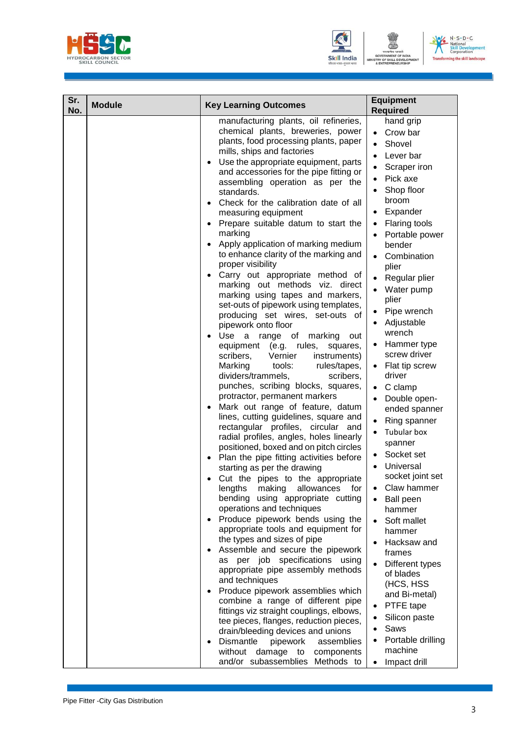



| $N \cdot S \cdot D \cdot C$<br>National<br><b>Skill Development</b><br>Corporation |
|------------------------------------------------------------------------------------|
| <b>Transforming the skill landscape</b>                                            |

| Sr.<br>No. | <b>Module</b> | <b>Key Learning Outcomes</b>                                                                                                                                                                                                                                                                                                                                                                                                                                                                                                                                                                                                                                                                                                                                                                                                                                                                                                                                                                                                                                                                                                                                                                                                                                                                                                                                                                                                                                                                                                                                                                                                                                                                                                                                                                                                                                                                                                                                                                                                                                                                                                    | <b>Equipment</b><br><b>Required</b>                                                                                                                                                                                                                                                                                                                                                                                                                                                                                                                                                                                                                                                                                                                                                                                                                                                        |
|------------|---------------|---------------------------------------------------------------------------------------------------------------------------------------------------------------------------------------------------------------------------------------------------------------------------------------------------------------------------------------------------------------------------------------------------------------------------------------------------------------------------------------------------------------------------------------------------------------------------------------------------------------------------------------------------------------------------------------------------------------------------------------------------------------------------------------------------------------------------------------------------------------------------------------------------------------------------------------------------------------------------------------------------------------------------------------------------------------------------------------------------------------------------------------------------------------------------------------------------------------------------------------------------------------------------------------------------------------------------------------------------------------------------------------------------------------------------------------------------------------------------------------------------------------------------------------------------------------------------------------------------------------------------------------------------------------------------------------------------------------------------------------------------------------------------------------------------------------------------------------------------------------------------------------------------------------------------------------------------------------------------------------------------------------------------------------------------------------------------------------------------------------------------------|--------------------------------------------------------------------------------------------------------------------------------------------------------------------------------------------------------------------------------------------------------------------------------------------------------------------------------------------------------------------------------------------------------------------------------------------------------------------------------------------------------------------------------------------------------------------------------------------------------------------------------------------------------------------------------------------------------------------------------------------------------------------------------------------------------------------------------------------------------------------------------------------|
|            |               | manufacturing plants, oil refineries,<br>chemical plants, breweries, power<br>plants, food processing plants, paper<br>mills, ships and factories<br>Use the appropriate equipment, parts<br>$\bullet$<br>and accessories for the pipe fitting or<br>assembling operation as per the<br>standards.<br>Check for the calibration date of all<br>$\bullet$<br>measuring equipment<br>Prepare suitable datum to start the<br>$\bullet$<br>marking<br>Apply application of marking medium<br>$\bullet$<br>to enhance clarity of the marking and<br>proper visibility<br>Carry out appropriate method of<br>marking out methods viz. direct<br>marking using tapes and markers,<br>set-outs of pipework using templates,<br>producing set wires, set-outs of<br>pipework onto floor<br>Use a range of<br>marking<br>out<br>$\bullet$<br>equipment (e.g. rules,<br>squares,<br>scribers,<br>Vernier<br>instruments)<br>Marking<br>tools:<br>rules/tapes,<br>dividers/trammels,<br>scribers,<br>punches, scribing blocks, squares,<br>protractor, permanent markers<br>Mark out range of feature, datum<br>$\bullet$<br>lines, cutting guidelines, square and<br>rectangular profiles, circular and<br>radial profiles, angles, holes linearly<br>positioned, boxed and on pitch circles<br>Plan the pipe fitting activities before<br>$\bullet$<br>starting as per the drawing<br>Cut the pipes to the appropriate<br>lengths<br>making<br>allowances<br>for<br>bending using appropriate cutting<br>operations and techniques<br>Produce pipework bends using the<br>$\bullet$<br>appropriate tools and equipment for<br>the types and sizes of pipe<br>Assemble and secure the pipework<br>$\bullet$<br>per job specifications<br>using<br>as<br>appropriate pipe assembly methods<br>and techniques<br>Produce pipework assemblies which<br>$\bullet$<br>combine a range of different pipe<br>fittings viz straight couplings, elbows,<br>tee pieces, flanges, reduction pieces,<br>drain/bleeding devices and unions<br>Dismantle<br>pipework<br>assemblies<br>without damage to<br>components<br>and/or subassemblies Methods to | hand grip<br>Crow bar<br>$\bullet$<br>Shovel<br>$\bullet$<br>Lever bar<br>$\bullet$<br>Scraper iron<br>$\bullet$<br>Pick axe<br>$\bullet$<br>Shop floor<br>broom<br>Expander<br><b>Flaring tools</b><br>Portable power<br>bender<br>Combination<br>$\bullet$<br>plier<br>Regular plier<br>Water pump<br>$\bullet$<br>plier<br>Pipe wrench<br>Adjustable<br>wrench<br>Hammer type<br>screw driver<br>Flat tip screw<br>$\bullet$<br>driver<br>C clamp<br>$\bullet$<br>Double open-<br>$\bullet$<br>ended spanner<br>Ring spanner<br>Tubular box<br>spanner<br>Socket set<br>Universal<br>socket joint set<br>Claw hammer<br>٠<br><b>Ball peen</b><br>hammer<br>Soft mallet<br>hammer<br>Hacksaw and<br>frames<br>Different types<br>of blades<br>(HCS, HSS<br>and Bi-metal)<br>PTFE tape<br>Silicon paste<br>Saws<br>Portable drilling<br>$\bullet$<br>machine<br>Impact drill<br>$\bullet$ |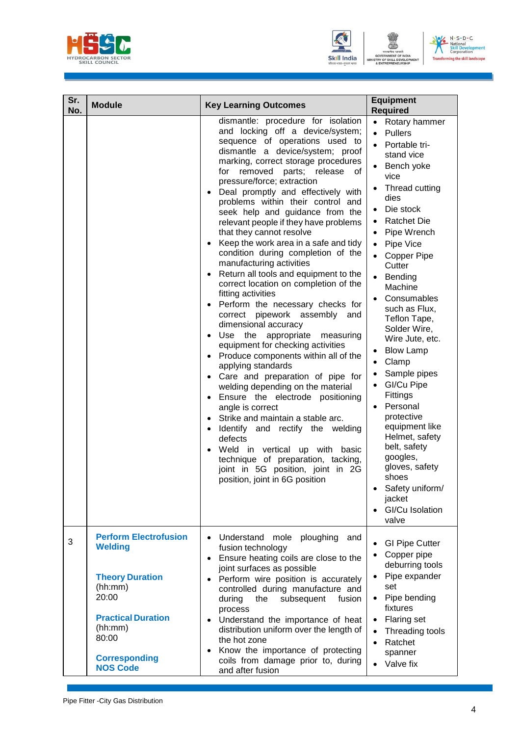





| Sr.<br>No. | <b>Module</b>                                                                                | <b>Key Learning Outcomes</b>                                                                                                                                                                                                                                                                                                                                                                                                                                                                                                                                                                                                                                                                                                                                                                                                                                                                                                                                                                                                                                                                                                                                                                                                                                                       | <b>Equipment</b><br><b>Required</b>                                                                                                                                                                                                                                                                                                                                                                                                                                                                                                                                                                                                                                                                           |
|------------|----------------------------------------------------------------------------------------------|------------------------------------------------------------------------------------------------------------------------------------------------------------------------------------------------------------------------------------------------------------------------------------------------------------------------------------------------------------------------------------------------------------------------------------------------------------------------------------------------------------------------------------------------------------------------------------------------------------------------------------------------------------------------------------------------------------------------------------------------------------------------------------------------------------------------------------------------------------------------------------------------------------------------------------------------------------------------------------------------------------------------------------------------------------------------------------------------------------------------------------------------------------------------------------------------------------------------------------------------------------------------------------|---------------------------------------------------------------------------------------------------------------------------------------------------------------------------------------------------------------------------------------------------------------------------------------------------------------------------------------------------------------------------------------------------------------------------------------------------------------------------------------------------------------------------------------------------------------------------------------------------------------------------------------------------------------------------------------------------------------|
|            |                                                                                              | dismantle: procedure for isolation<br>and locking off a device/system;<br>sequence of operations used to<br>dismantle a device/system; proof<br>marking, correct storage procedures<br>for removed<br>parts; release<br>οf<br>pressure/force; extraction<br>Deal promptly and effectively with<br>problems within their control and<br>seek help and guidance from the<br>relevant people if they have problems<br>that they cannot resolve<br>Keep the work area in a safe and tidy<br>condition during completion of the<br>manufacturing activities<br>Return all tools and equipment to the<br>correct location on completion of the<br>fitting activities<br>Perform the necessary checks for<br>correct pipework assembly<br>and<br>dimensional accuracy<br>the<br>appropriate<br>Use<br>measuring<br>equipment for checking activities<br>Produce components within all of the<br>applying standards<br>Care and preparation of pipe for<br>welding depending on the material<br>Ensure the electrode positioning<br>angle is correct<br>Strike and maintain a stable arc.<br>Identify and rectify the welding<br>defects<br>Weld in vertical up with<br>basic<br>technique of preparation, tacking,<br>joint in 5G position, joint in 2G<br>position, joint in 6G position | Rotary hammer<br>$\bullet$<br><b>Pullers</b><br>$\bullet$<br>$\bullet$<br>Portable tri-<br>stand vice<br>Bench yoke<br>vice<br>Thread cutting<br>dies<br>Die stock<br><b>Ratchet Die</b><br>$\bullet$<br>Pipe Wrench<br>$\bullet$<br>Pipe Vice<br>$\bullet$<br><b>Copper Pipe</b><br>Cutter<br>Bending<br>$\bullet$<br>Machine<br>Consumables<br>such as Flux,<br>Teflon Tape,<br>Solder Wire,<br>Wire Jute, etc.<br><b>Blow Lamp</b><br>Clamp<br>Sample pipes<br>$\bullet$<br>GI/Cu Pipe<br>$\bullet$<br>Fittings<br>Personal<br>$\bullet$<br>protective<br>equipment like<br>Helmet, safety<br>belt, safety<br>googles,<br>gloves, safety<br>shoes<br>Safety uniform/<br>jacket<br>GI/Cu Isolation<br>valve |
| 3          | <b>Perform Electrofusion</b><br><b>Welding</b><br><b>Theory Duration</b><br>(hh:mm)<br>20:00 | Understand<br>mole<br>ploughing<br>and<br>fusion technology<br>Ensure heating coils are close to the<br>$\bullet$<br>joint surfaces as possible<br>Perform wire position is accurately<br>controlled during manufacture and<br>subsequent<br>during<br>the<br>fusion<br>process                                                                                                                                                                                                                                                                                                                                                                                                                                                                                                                                                                                                                                                                                                                                                                                                                                                                                                                                                                                                    | <b>GI Pipe Cutter</b><br>Copper pipe<br>deburring tools<br>Pipe expander<br>set<br>Pipe bending<br>$\bullet$<br>fixtures                                                                                                                                                                                                                                                                                                                                                                                                                                                                                                                                                                                      |
|            | <b>Practical Duration</b><br>(hh:mm)<br>80:00<br><b>Corresponding</b><br><b>NOS Code</b>     | Understand the importance of heat<br>distribution uniform over the length of<br>the hot zone<br>Know the importance of protecting<br>coils from damage prior to, during<br>and after fusion                                                                                                                                                                                                                                                                                                                                                                                                                                                                                                                                                                                                                                                                                                                                                                                                                                                                                                                                                                                                                                                                                        | <b>Flaring set</b><br>$\bullet$<br>Threading tools<br>$\bullet$<br>Ratchet<br>$\bullet$<br>spanner<br>Valve fix                                                                                                                                                                                                                                                                                                                                                                                                                                                                                                                                                                                               |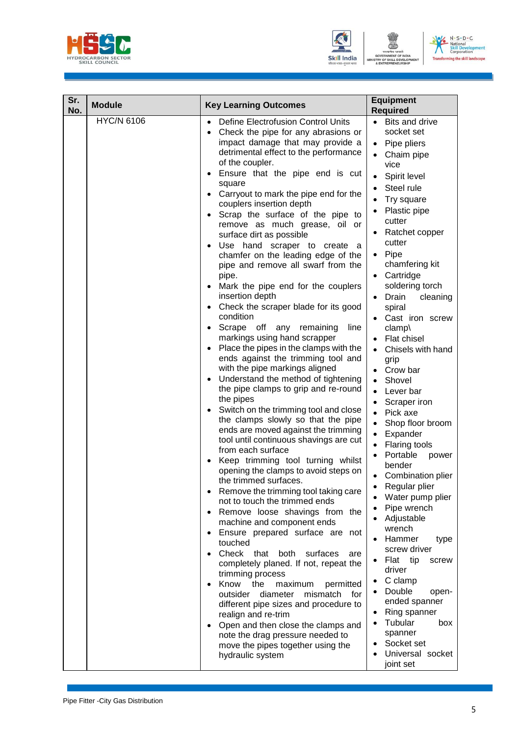





| Sr.<br>No. | <b>Module</b>     | <b>Key Learning Outcomes</b>                                                                                                                                                                                                                                                                                                                                                                                                                                                                                                                                                                                                                                                                                                                                                                                                                                                                                                                                                                                                                                                                                                                                                                                                                                                                                                                                                                                                                                                                                                                                                                                                                                                                                                                                                                                                                                                                                                                                        | <b>Equipment</b><br><b>Required</b>                                                                                                                                                                                                                                                                                                                                                                                                                                                                                                                                                                                                                                                                                                                                                                                                                                                                                                                |  |
|------------|-------------------|---------------------------------------------------------------------------------------------------------------------------------------------------------------------------------------------------------------------------------------------------------------------------------------------------------------------------------------------------------------------------------------------------------------------------------------------------------------------------------------------------------------------------------------------------------------------------------------------------------------------------------------------------------------------------------------------------------------------------------------------------------------------------------------------------------------------------------------------------------------------------------------------------------------------------------------------------------------------------------------------------------------------------------------------------------------------------------------------------------------------------------------------------------------------------------------------------------------------------------------------------------------------------------------------------------------------------------------------------------------------------------------------------------------------------------------------------------------------------------------------------------------------------------------------------------------------------------------------------------------------------------------------------------------------------------------------------------------------------------------------------------------------------------------------------------------------------------------------------------------------------------------------------------------------------------------------------------------------|----------------------------------------------------------------------------------------------------------------------------------------------------------------------------------------------------------------------------------------------------------------------------------------------------------------------------------------------------------------------------------------------------------------------------------------------------------------------------------------------------------------------------------------------------------------------------------------------------------------------------------------------------------------------------------------------------------------------------------------------------------------------------------------------------------------------------------------------------------------------------------------------------------------------------------------------------|--|
|            | <b>HYC/N 6106</b> | <b>Define Electrofusion Control Units</b><br>$\bullet$<br>Check the pipe for any abrasions or<br>$\bullet$<br>impact damage that may provide a<br>detrimental effect to the performance<br>of the coupler.<br>Ensure that the pipe end is cut<br>$\bullet$<br>square<br>Carryout to mark the pipe end for the<br>$\bullet$<br>couplers insertion depth<br>Scrap the surface of the pipe to<br>remove as much grease, oil or<br>surface dirt as possible<br>Use hand scraper to create<br>- a<br>chamfer on the leading edge of the<br>pipe and remove all swarf from the<br>pipe.<br>Mark the pipe end for the couplers<br>$\bullet$<br>insertion depth<br>Check the scraper blade for its good<br>condition<br>Scrape off any remaining<br>line<br>$\bullet$<br>markings using hand scrapper<br>Place the pipes in the clamps with the<br>$\bullet$<br>ends against the trimming tool and<br>with the pipe markings aligned<br>Understand the method of tightening<br>$\bullet$<br>the pipe clamps to grip and re-round<br>the pipes<br>Switch on the trimming tool and close<br>$\bullet$<br>the clamps slowly so that the pipe<br>ends are moved against the trimming<br>tool until continuous shavings are cut<br>from each surface<br>Keep trimming tool turning whilst<br>opening the clamps to avoid steps on<br>the trimmed surfaces.<br>Remove the trimming tool taking care<br>not to touch the trimmed ends<br>Remove loose shavings from the<br>$\bullet$<br>machine and component ends<br>Ensure prepared surface are not<br>touched<br>Check that<br>both<br>surfaces<br>are<br>completely planed. If not, repeat the<br>trimming process<br>Know<br>the<br>maximum<br>permitted<br>$\bullet$<br>outsider diameter<br>mismatch<br>for<br>different pipe sizes and procedure to<br>realign and re-trim<br>Open and then close the clamps and<br>$\bullet$<br>note the drag pressure needed to<br>move the pipes together using the<br>hydraulic system | Bits and drive<br>$\bullet$<br>socket set<br>Pipe pliers<br>$\bullet$<br>Chaim pipe<br>$\bullet$<br>vice<br>Spirit level<br>$\bullet$<br>Steel rule<br>Try square<br>Plastic pipe<br>cutter<br>Ratchet copper<br>cutter<br>Pipe<br>$\bullet$<br>chamfering kit<br>Cartridge<br>soldering torch<br>Drain<br>cleaning<br>spiral<br>Cast iron screw<br>clamp\<br>Flat chisel<br>Chisels with hand<br>grip<br>• Crow bar<br>Shovel<br>$\bullet$<br>Lever bar<br>$\bullet$<br>Scraper iron<br>$\bullet$<br>Pick axe<br>$\bullet$<br>Shop floor broom<br>$\bullet$<br>Expander<br>$\bullet$<br>Flaring tools<br>Portable<br>power<br>bender<br>Combination plier<br>Regular plier<br>Water pump plier<br>Pipe wrench<br>Adjustable<br>wrench<br>Hammer<br>type<br>screw driver<br>Flat tip<br>screw<br>driver<br>C clamp<br>Double<br>open-<br>ended spanner<br>Ring spanner<br>Tubular<br>box<br>spanner<br>Socket set<br>Universal socket<br>joint set |  |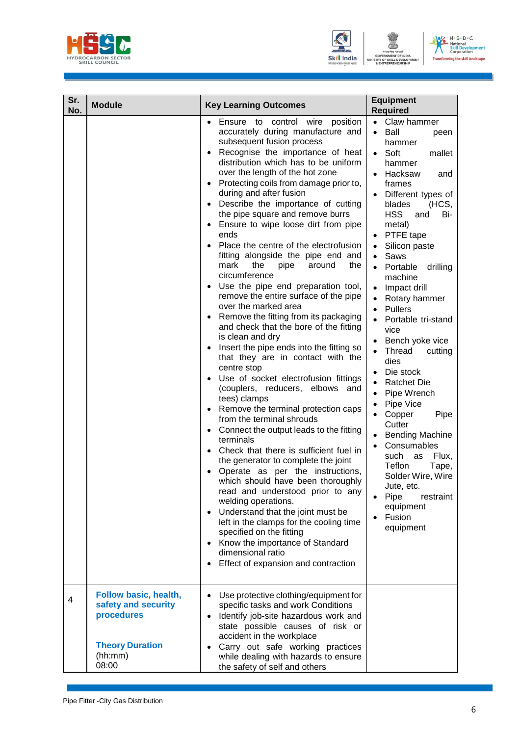





| Sr.<br>No. | <b>Module</b>                                                                                            | <b>Key Learning Outcomes</b>                                                                                                                                                                                                                                                                                                                                                                                                                                                                                                                                                                                                                                                                                                                                                                                                                                                                                                                                                                                                                                                                                                                                                                                                                                                                                                                                                                                                                                                                                                                                                                                                                                                     | <b>Equipment</b><br><b>Required</b>                                                                                                                                                                                                                                                                                                                                                                                                                                                                                                                                                                                                                                                                                                                                                                                                                                                                                                  |  |
|------------|----------------------------------------------------------------------------------------------------------|----------------------------------------------------------------------------------------------------------------------------------------------------------------------------------------------------------------------------------------------------------------------------------------------------------------------------------------------------------------------------------------------------------------------------------------------------------------------------------------------------------------------------------------------------------------------------------------------------------------------------------------------------------------------------------------------------------------------------------------------------------------------------------------------------------------------------------------------------------------------------------------------------------------------------------------------------------------------------------------------------------------------------------------------------------------------------------------------------------------------------------------------------------------------------------------------------------------------------------------------------------------------------------------------------------------------------------------------------------------------------------------------------------------------------------------------------------------------------------------------------------------------------------------------------------------------------------------------------------------------------------------------------------------------------------|--------------------------------------------------------------------------------------------------------------------------------------------------------------------------------------------------------------------------------------------------------------------------------------------------------------------------------------------------------------------------------------------------------------------------------------------------------------------------------------------------------------------------------------------------------------------------------------------------------------------------------------------------------------------------------------------------------------------------------------------------------------------------------------------------------------------------------------------------------------------------------------------------------------------------------------|--|
|            |                                                                                                          | Ensure to control wire<br>position<br>$\bullet$<br>accurately during manufacture and<br>subsequent fusion process<br>Recognise the importance of heat<br>$\bullet$<br>distribution which has to be uniform<br>over the length of the hot zone<br>Protecting coils from damage prior to,<br>$\bullet$<br>during and after fusion<br>Describe the importance of cutting<br>$\bullet$<br>the pipe square and remove burrs<br>Ensure to wipe loose dirt from pipe<br>$\bullet$<br>ends<br>Place the centre of the electrofusion<br>$\bullet$<br>fitting alongside the pipe end and<br>mark<br>the<br>pipe<br>around<br>the<br>circumference<br>Use the pipe end preparation tool,<br>remove the entire surface of the pipe<br>over the marked area<br>Remove the fitting from its packaging<br>and check that the bore of the fitting<br>is clean and dry<br>Insert the pipe ends into the fitting so<br>that they are in contact with the<br>centre stop<br>Use of socket electrofusion fittings<br>$\bullet$<br>(couplers, reducers, elbows<br>and<br>tees) clamps<br>Remove the terminal protection caps<br>$\bullet$<br>from the terminal shrouds<br>Connect the output leads to the fitting<br>$\bullet$<br>terminals<br>Check that there is sufficient fuel in<br>$\bullet$<br>the generator to complete the joint<br>Operate as per the instructions,<br>which should have been thoroughly<br>read and understood prior to any<br>welding operations.<br>Understand that the joint must be<br>$\bullet$<br>left in the clamps for the cooling time<br>specified on the fitting<br>Know the importance of Standard<br>dimensional ratio<br>Effect of expansion and contraction | Claw hammer<br>$\bullet$<br>Ball<br>$\bullet$<br>peen<br>hammer<br>Soft<br>$\bullet$<br>mallet<br>hammer<br>Hacksaw<br>and<br>frames<br>Different types of<br>blades<br>(HCS,<br><b>HSS</b><br>Bi-<br>and<br>metal)<br>PTFE tape<br>$\bullet$<br>Silicon paste<br>$\bullet$<br>Saws<br>$\bullet$<br>Portable<br>drilling<br>$\bullet$<br>machine<br>Impact drill<br>$\bullet$<br>Rotary hammer<br>$\bullet$<br><b>Pullers</b><br>$\bullet$<br>Portable tri-stand<br>$\bullet$<br>vice<br>Bench yoke vice<br>$\bullet$<br>Thread<br>cutting<br>$\bullet$<br>dies<br>Die stock<br>$\bullet$<br><b>Ratchet Die</b><br>$\bullet$<br>Pipe Wrench<br>$\bullet$<br>Pipe Vice<br>$\bullet$<br>Copper<br>Pipe<br>$\bullet$<br>Cutter<br><b>Bending Machine</b><br>$\bullet$<br>Consumables<br>$\bullet$<br>such<br>Flux,<br>as<br>Teflon<br>Tape,<br>Solder Wire, Wire<br>Jute, etc.<br>Pipe<br>restraint<br>equipment<br>Fusion<br>equipment |  |
| 4          | Follow basic, health,<br>safety and security<br>procedures<br><b>Theory Duration</b><br>(hh:mm)<br>08:00 | Use protective clothing/equipment for<br>specific tasks and work Conditions<br>Identify job-site hazardous work and<br>state possible causes of risk or<br>accident in the workplace<br>Carry out safe working practices<br>while dealing with hazards to ensure<br>the safety of self and others                                                                                                                                                                                                                                                                                                                                                                                                                                                                                                                                                                                                                                                                                                                                                                                                                                                                                                                                                                                                                                                                                                                                                                                                                                                                                                                                                                                |                                                                                                                                                                                                                                                                                                                                                                                                                                                                                                                                                                                                                                                                                                                                                                                                                                                                                                                                      |  |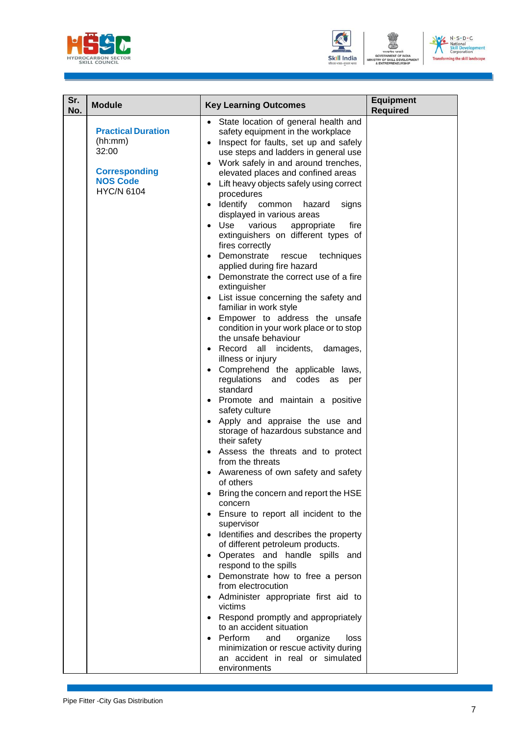



| Sr.<br>No. | <b>Module</b>                                                                                                 | <b>Key Learning Outcomes</b>                                                                                                                                                                                                                                                                                                                                                                                                                                                                                                                                                                                                                                                                                                                                                                                                                                                                                                                                                                                                                                                                                                                                                                                                                                                                                                                                                                                                                                                                                                                                                                                                                                                                                                                                          | <b>Equipment</b><br><b>Required</b> |
|------------|---------------------------------------------------------------------------------------------------------------|-----------------------------------------------------------------------------------------------------------------------------------------------------------------------------------------------------------------------------------------------------------------------------------------------------------------------------------------------------------------------------------------------------------------------------------------------------------------------------------------------------------------------------------------------------------------------------------------------------------------------------------------------------------------------------------------------------------------------------------------------------------------------------------------------------------------------------------------------------------------------------------------------------------------------------------------------------------------------------------------------------------------------------------------------------------------------------------------------------------------------------------------------------------------------------------------------------------------------------------------------------------------------------------------------------------------------------------------------------------------------------------------------------------------------------------------------------------------------------------------------------------------------------------------------------------------------------------------------------------------------------------------------------------------------------------------------------------------------------------------------------------------------|-------------------------------------|
|            | <b>Practical Duration</b><br>(hh:mm)<br>32:00<br><b>Corresponding</b><br><b>NOS Code</b><br><b>HYC/N 6104</b> | State location of general health and<br>safety equipment in the workplace<br>Inspect for faults, set up and safely<br>$\bullet$<br>use steps and ladders in general use<br>Work safely in and around trenches,<br>$\bullet$<br>elevated places and confined areas<br>Lift heavy objects safely using correct<br>$\bullet$<br>procedures<br>Identify common<br>hazard<br>signs<br>displayed in various areas<br>Use<br>fire<br>various<br>appropriate<br>extinguishers on different types of<br>fires correctly<br>Demonstrate<br>techniques<br>rescue<br>applied during fire hazard<br>Demonstrate the correct use of a fire<br>extinguisher<br>List issue concerning the safety and<br>familiar in work style<br>Empower to address the unsafe<br>condition in your work place or to stop<br>the unsafe behaviour<br>Record all incidents,<br>damages,<br>illness or injury<br>• Comprehend the applicable laws,<br>regulations<br>and codes as<br>per<br>standard<br>Promote and maintain a positive<br>$\bullet$<br>safety culture<br>Apply and appraise the use and<br>storage of hazardous substance and<br>their safety<br>Assess the threats and to protect<br>$\bullet$<br>from the threats<br>Awareness of own safety and safety<br>of others<br>Bring the concern and report the HSE<br>concern<br>Ensure to report all incident to the<br>supervisor<br>Identifies and describes the property<br>of different petroleum products.<br>Operates and handle spills and<br>respond to the spills<br>Demonstrate how to free a person<br>from electrocution<br>Administer appropriate first aid to<br>victims<br>Respond promptly and appropriately<br>to an accident situation<br>Perform<br>and<br>organize<br>loss<br>minimization or rescue activity during |                                     |
|            |                                                                                                               | an accident in real or simulated<br>environments                                                                                                                                                                                                                                                                                                                                                                                                                                                                                                                                                                                                                                                                                                                                                                                                                                                                                                                                                                                                                                                                                                                                                                                                                                                                                                                                                                                                                                                                                                                                                                                                                                                                                                                      |                                     |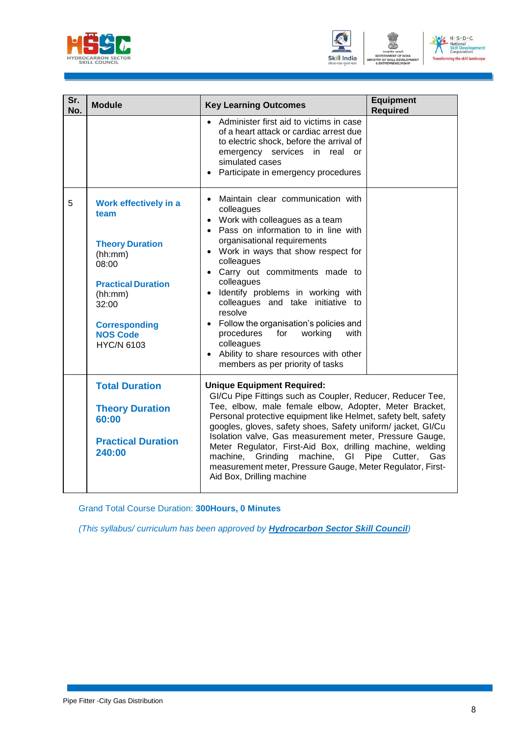



| Sr.<br>No. | <b>Module</b>                                                                                                                                                                                | <b>Key Learning Outcomes</b>                                                                                                                                                                                                                                                                                                                                                                                                                                                                                                                                                                                   | <b>Equipment</b><br><b>Required</b> |
|------------|----------------------------------------------------------------------------------------------------------------------------------------------------------------------------------------------|----------------------------------------------------------------------------------------------------------------------------------------------------------------------------------------------------------------------------------------------------------------------------------------------------------------------------------------------------------------------------------------------------------------------------------------------------------------------------------------------------------------------------------------------------------------------------------------------------------------|-------------------------------------|
|            |                                                                                                                                                                                              | • Administer first aid to victims in case<br>of a heart attack or cardiac arrest due<br>to electric shock, before the arrival of<br>emergency services in real or<br>simulated cases<br>Participate in emergency procedures                                                                                                                                                                                                                                                                                                                                                                                    |                                     |
| 5          | Work effectively in a<br>team<br><b>Theory Duration</b><br>(hh:mm)<br>08:00<br><b>Practical Duration</b><br>(hh:mm)<br>32:00<br><b>Corresponding</b><br><b>NOS Code</b><br><b>HYC/N 6103</b> | Maintain clear communication with<br>$\bullet$<br>colleagues<br>Work with colleagues as a team<br>$\bullet$<br>Pass on information to in line with<br>$\bullet$<br>organisational requirements<br>Work in ways that show respect for<br>$\bullet$<br>colleagues<br>Carry out commitments made to<br>$\bullet$<br>colleagues<br>· Identify problems in working with<br>colleagues and take initiative to<br>resolve<br>• Follow the organisation's policies and<br>procedures<br>for<br>working<br>with<br>colleagues<br>Ability to share resources with other<br>$\bullet$<br>members as per priority of tasks |                                     |
|            | <b>Total Duration</b><br><b>Theory Duration</b><br>60:00<br><b>Practical Duration</b><br>240:00                                                                                              | <b>Unique Equipment Required:</b><br>GI/Cu Pipe Fittings such as Coupler, Reducer, Reducer Tee,<br>Tee, elbow, male female elbow, Adopter, Meter Bracket,<br>Personal protective equipment like Helmet, safety belt, safety<br>googles, gloves, safety shoes, Safety uniform/jacket, GI/Cu<br>Isolation valve, Gas measurement meter, Pressure Gauge,<br>Meter Regulator, First-Aid Box, drilling machine, welding<br>machine, Grinding machine,<br>GI<br>Pipe Cutter,<br>Gas<br>measurement meter, Pressure Gauge, Meter Regulator, First-<br>Aid Box, Drilling machine                                       |                                     |

Grand Total Course Duration: **300Hours, 0 Minutes**

*(This syllabus/ curriculum has been approved by Hydrocarbon Sector Skill Council)*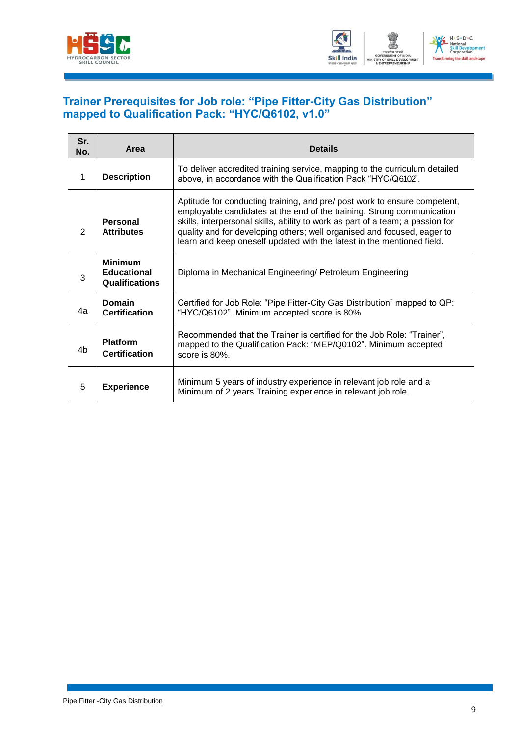



#### <span id="page-11-0"></span>**Trainer Prerequisites for Job role: "Pipe Fitter-City Gas Distribution" mapped to Qualification Pack: "HYC/Q6102, v1.0"**

| Sr.<br>No. | Area                                                          | <b>Details</b>                                                                                                                                                                                                                                                                                                                                                                             |
|------------|---------------------------------------------------------------|--------------------------------------------------------------------------------------------------------------------------------------------------------------------------------------------------------------------------------------------------------------------------------------------------------------------------------------------------------------------------------------------|
| 1          | <b>Description</b>                                            | To deliver accredited training service, mapping to the curriculum detailed<br>above, in accordance with the Qualification Pack "HYC/Q6102".                                                                                                                                                                                                                                                |
| 2          | Personal<br><b>Attributes</b>                                 | Aptitude for conducting training, and pre/ post work to ensure competent,<br>employable candidates at the end of the training. Strong communication<br>skills, interpersonal skills, ability to work as part of a team; a passion for<br>quality and for developing others; well organised and focused, eager to<br>learn and keep oneself updated with the latest in the mentioned field. |
| 3          | <b>Minimum</b><br><b>Educational</b><br><b>Qualifications</b> | Diploma in Mechanical Engineering/ Petroleum Engineering                                                                                                                                                                                                                                                                                                                                   |
| 4а         | Domain<br><b>Certification</b>                                | Certified for Job Role: "Pipe Fitter-City Gas Distribution" mapped to QP:<br>"HYC/Q6102". Minimum accepted score is 80%                                                                                                                                                                                                                                                                    |
| 4b         | <b>Platform</b><br><b>Certification</b>                       | Recommended that the Trainer is certified for the Job Role: "Trainer",<br>mapped to the Qualification Pack: "MEP/Q0102". Minimum accepted<br>score is $80\%$ .                                                                                                                                                                                                                             |
| 5          | <b>Experience</b>                                             | Minimum 5 years of industry experience in relevant job role and a<br>Minimum of 2 years Training experience in relevant job role.                                                                                                                                                                                                                                                          |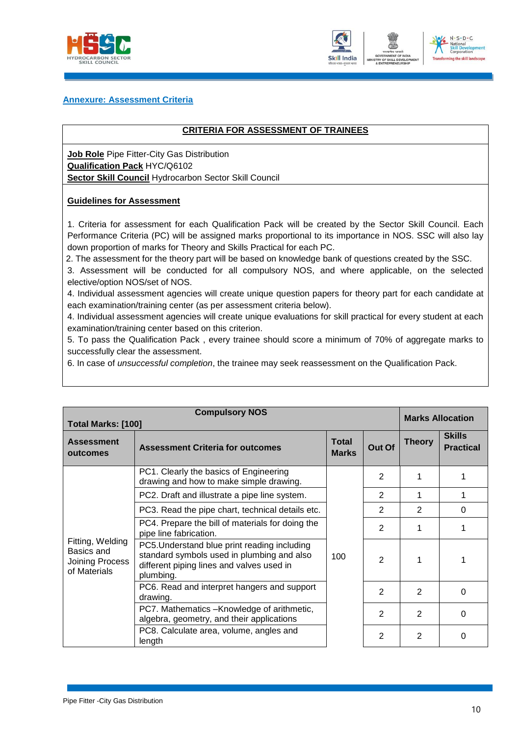



#### **Annexure: Assessment Criteria**

#### <span id="page-12-0"></span>**CRITERIA FOR ASSESSMENT OF TRAINEES**

**Job Role** Pipe Fitter-City Gas Distribution **Qualification Pack** HYC/Q6102 **Sector Skill Council** Hydrocarbon Sector Skill Council

#### **Guidelines for Assessment**

1. Criteria for assessment for each Qualification Pack will be created by the Sector Skill Council. Each Performance Criteria (PC) will be assigned marks proportional to its importance in NOS. SSC will also lay down proportion of marks for Theory and Skills Practical for each PC.

2. The assessment for the theory part will be based on knowledge bank of questions created by the SSC.

3. Assessment will be conducted for all compulsory NOS, and where applicable, on the selected elective/option NOS/set of NOS.

4. Individual assessment agencies will create unique question papers for theory part for each candidate at each examination/training center (as per assessment criteria below).

4. Individual assessment agencies will create unique evaluations for skill practical for every student at each examination/training center based on this criterion.

5. To pass the Qualification Pack , every trainee should score a minimum of 70% of aggregate marks to successfully clear the assessment.

6. In case of *unsuccessful completion*, the trainee may seek reassessment on the Qualification Pack.

| <b>Compulsory NOS</b><br><b>Total Marks: [100]</b>                                                                 |                                                                                                                                                      |     |                | <b>Marks Allocation</b> |                                   |
|--------------------------------------------------------------------------------------------------------------------|------------------------------------------------------------------------------------------------------------------------------------------------------|-----|----------------|-------------------------|-----------------------------------|
| <b>Total</b><br><b>Assessment</b><br>Out Of<br><b>Assessment Criteria for outcomes</b><br><b>Marks</b><br>outcomes |                                                                                                                                                      |     |                | <b>Theory</b>           | <b>Skills</b><br><b>Practical</b> |
|                                                                                                                    | PC1. Clearly the basics of Engineering<br>drawing and how to make simple drawing.                                                                    |     | 2              |                         |                                   |
|                                                                                                                    | PC2. Draft and illustrate a pipe line system.                                                                                                        |     | 2              | 1                       |                                   |
|                                                                                                                    | PC3. Read the pipe chart, technical details etc.                                                                                                     | 100 | $\overline{2}$ | 2                       | $\Omega$                          |
|                                                                                                                    | PC4. Prepare the bill of materials for doing the<br>pipe line fabrication.                                                                           |     | $\overline{2}$ |                         |                                   |
| Fitting, Welding<br>Basics and<br><b>Joining Process</b><br>of Materials                                           | PC5. Understand blue print reading including<br>standard symbols used in plumbing and also<br>different piping lines and valves used in<br>plumbing. |     | $\overline{2}$ | 1                       |                                   |
|                                                                                                                    | PC6. Read and interpret hangers and support<br>drawing.                                                                                              |     | $\mathcal{P}$  | $\mathcal{P}$           | 0                                 |
|                                                                                                                    | PC7. Mathematics -Knowledge of arithmetic,<br>algebra, geometry, and their applications                                                              |     | 2              | 2                       | $\Omega$                          |
|                                                                                                                    | PC8. Calculate area, volume, angles and<br>length                                                                                                    |     | 2              | 2                       | 0                                 |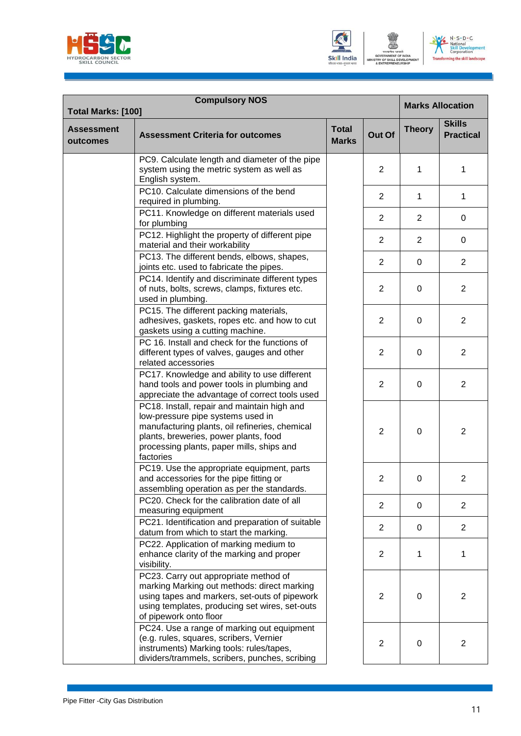





| <b>Compulsory NOS</b><br>Total Marks: [100] |                                                                                                                                                                                                                                       |                              |                |               | <b>Marks Allocation</b>           |
|---------------------------------------------|---------------------------------------------------------------------------------------------------------------------------------------------------------------------------------------------------------------------------------------|------------------------------|----------------|---------------|-----------------------------------|
| <b>Assessment</b><br>outcomes               | <b>Assessment Criteria for outcomes</b>                                                                                                                                                                                               | <b>Total</b><br><b>Marks</b> | Out Of         | <b>Theory</b> | <b>Skills</b><br><b>Practical</b> |
|                                             | PC9. Calculate length and diameter of the pipe<br>system using the metric system as well as<br>English system.                                                                                                                        |                              | 2              | 1             | 1                                 |
|                                             | PC10. Calculate dimensions of the bend<br>required in plumbing.                                                                                                                                                                       |                              | $\overline{2}$ | 1             | 1                                 |
|                                             | PC11. Knowledge on different materials used<br>for plumbing                                                                                                                                                                           |                              | 2              | 2             | 0                                 |
|                                             | PC12. Highlight the property of different pipe<br>material and their workability                                                                                                                                                      |                              | $\overline{2}$ | 2             | 0                                 |
|                                             | PC13. The different bends, elbows, shapes,<br>joints etc. used to fabricate the pipes.                                                                                                                                                |                              | 2              | 0             | $\overline{2}$                    |
|                                             | PC14. Identify and discriminate different types<br>of nuts, bolts, screws, clamps, fixtures etc.<br>used in plumbing.                                                                                                                 |                              | 2              | $\Omega$      | $\overline{2}$                    |
|                                             | PC15. The different packing materials,<br>adhesives, gaskets, ropes etc. and how to cut<br>gaskets using a cutting machine.                                                                                                           |                              | 2              | $\Omega$      | $\overline{2}$                    |
|                                             | PC 16. Install and check for the functions of<br>different types of valves, gauges and other<br>related accessories                                                                                                                   |                              | 2              | $\Omega$      | $\overline{2}$                    |
|                                             | PC17. Knowledge and ability to use different<br>hand tools and power tools in plumbing and<br>appreciate the advantage of correct tools used                                                                                          |                              | 2              | $\Omega$      | $\overline{2}$                    |
|                                             | PC18. Install, repair and maintain high and<br>low-pressure pipe systems used in<br>manufacturing plants, oil refineries, chemical<br>plants, breweries, power plants, food<br>processing plants, paper mills, ships and<br>factories |                              | $\overline{2}$ | 0             | $\overline{2}$                    |
|                                             | PC19. Use the appropriate equipment, parts<br>and accessories for the pipe fitting or<br>assembling operation as per the standards.                                                                                                   |                              | 2              | 0             | 2                                 |
|                                             | PC20. Check for the calibration date of all<br>measuring equipment                                                                                                                                                                    |                              | 2              | $\mathbf 0$   | 2                                 |
|                                             | PC21. Identification and preparation of suitable<br>datum from which to start the marking.                                                                                                                                            |                              | 2              | 0             | $\overline{2}$                    |
|                                             | PC22. Application of marking medium to<br>enhance clarity of the marking and proper<br>visibility.                                                                                                                                    |                              | $\overline{2}$ | 1             | 1                                 |
|                                             | PC23. Carry out appropriate method of<br>marking Marking out methods: direct marking<br>using tapes and markers, set-outs of pipework<br>using templates, producing set wires, set-outs<br>of pipework onto floor                     |                              | 2              | 0             | $\overline{2}$                    |
|                                             | PC24. Use a range of marking out equipment<br>(e.g. rules, squares, scribers, Vernier<br>instruments) Marking tools: rules/tapes,<br>dividers/trammels, scribers, punches, scribing                                                   |                              | $\overline{2}$ | 0             | $\overline{2}$                    |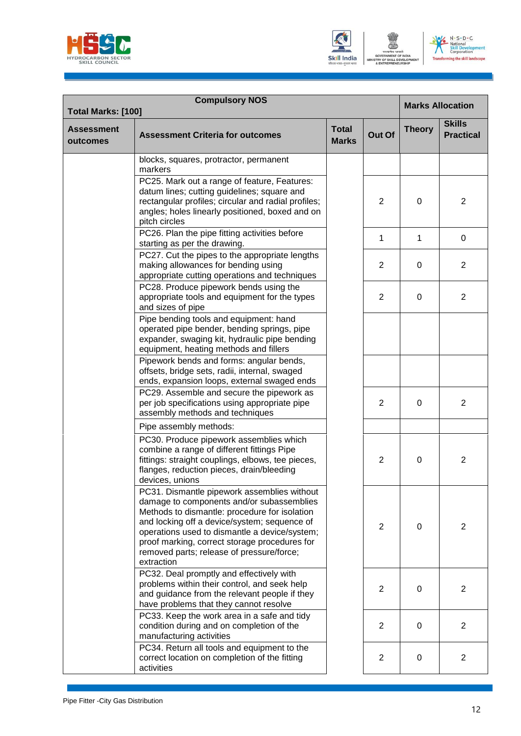





| <b>Compulsory NOS</b><br>Total Marks: [100] |                                                                                                                                                                                                                                                                                                                                                        |                              |                |               | <b>Marks Allocation</b>           |  |
|---------------------------------------------|--------------------------------------------------------------------------------------------------------------------------------------------------------------------------------------------------------------------------------------------------------------------------------------------------------------------------------------------------------|------------------------------|----------------|---------------|-----------------------------------|--|
| <b>Assessment</b><br>outcomes               | <b>Assessment Criteria for outcomes</b>                                                                                                                                                                                                                                                                                                                | <b>Total</b><br><b>Marks</b> | Out Of         | <b>Theory</b> | <b>Skills</b><br><b>Practical</b> |  |
|                                             | blocks, squares, protractor, permanent<br>markers                                                                                                                                                                                                                                                                                                      |                              |                |               |                                   |  |
|                                             | PC25. Mark out a range of feature, Features:<br>datum lines; cutting guidelines; square and<br>rectangular profiles; circular and radial profiles;<br>angles; holes linearly positioned, boxed and on<br>pitch circles                                                                                                                                 |                              | 2              | 0             | $\overline{2}$                    |  |
|                                             | PC26. Plan the pipe fitting activities before<br>starting as per the drawing.                                                                                                                                                                                                                                                                          |                              | 1              | 1             | 0                                 |  |
|                                             | PC27. Cut the pipes to the appropriate lengths<br>making allowances for bending using<br>appropriate cutting operations and techniques                                                                                                                                                                                                                 |                              | 2              | $\Omega$      | 2                                 |  |
|                                             | PC28. Produce pipework bends using the<br>appropriate tools and equipment for the types<br>and sizes of pipe                                                                                                                                                                                                                                           |                              | 2              | 0             | 2                                 |  |
|                                             | Pipe bending tools and equipment: hand<br>operated pipe bender, bending springs, pipe<br>expander, swaging kit, hydraulic pipe bending<br>equipment, heating methods and fillers                                                                                                                                                                       |                              |                |               |                                   |  |
|                                             | Pipework bends and forms: angular bends,<br>offsets, bridge sets, radii, internal, swaged<br>ends, expansion loops, external swaged ends                                                                                                                                                                                                               |                              |                |               |                                   |  |
|                                             | PC29. Assemble and secure the pipework as<br>per job specifications using appropriate pipe<br>assembly methods and techniques                                                                                                                                                                                                                          |                              | $\overline{2}$ | 0             | $\overline{2}$                    |  |
|                                             | Pipe assembly methods:                                                                                                                                                                                                                                                                                                                                 |                              |                |               |                                   |  |
|                                             | PC30. Produce pipework assemblies which<br>combine a range of different fittings Pipe<br>fittings: straight couplings, elbows, tee pieces,<br>flanges, reduction pieces, drain/bleeding<br>devices, unions                                                                                                                                             |                              | $\overline{2}$ | 0             | $\overline{2}$                    |  |
|                                             | PC31. Dismantle pipework assemblies without<br>damage to components and/or subassemblies<br>Methods to dismantle: procedure for isolation<br>and locking off a device/system; sequence of<br>operations used to dismantle a device/system;<br>proof marking, correct storage procedures for<br>removed parts; release of pressure/force;<br>extraction |                              | 2              | 0             | $\overline{2}$                    |  |
|                                             | PC32. Deal promptly and effectively with<br>problems within their control, and seek help<br>and guidance from the relevant people if they<br>have problems that they cannot resolve                                                                                                                                                                    |                              | $\overline{2}$ | 0             | $\overline{2}$                    |  |
|                                             | PC33. Keep the work area in a safe and tidy<br>condition during and on completion of the<br>manufacturing activities                                                                                                                                                                                                                                   |                              | 2              | 0             | $\overline{2}$                    |  |
|                                             | PC34. Return all tools and equipment to the<br>correct location on completion of the fitting<br>activities                                                                                                                                                                                                                                             |                              | $\overline{2}$ | 0             | $\overline{2}$                    |  |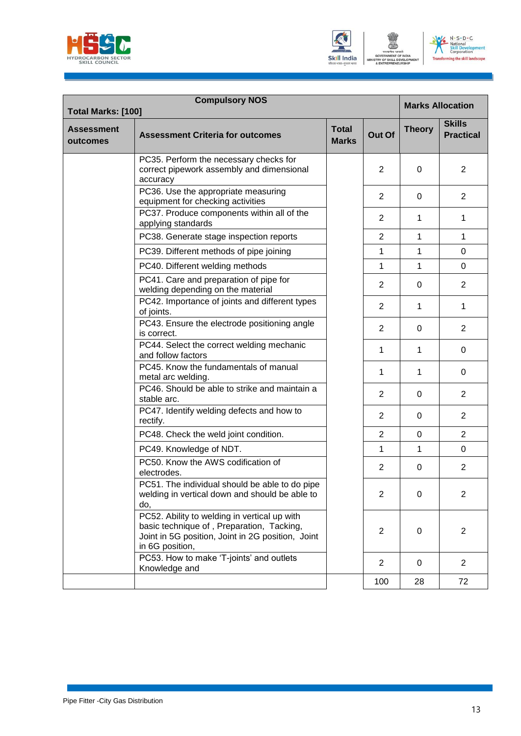





| Total Marks: [100]            | <b>Compulsory NOS</b>                                                                                                                                             |                              |                |               | <b>Marks Allocation</b>           |
|-------------------------------|-------------------------------------------------------------------------------------------------------------------------------------------------------------------|------------------------------|----------------|---------------|-----------------------------------|
| <b>Assessment</b><br>outcomes | <b>Assessment Criteria for outcomes</b>                                                                                                                           | <b>Total</b><br><b>Marks</b> | Out Of         | <b>Theory</b> | <b>Skills</b><br><b>Practical</b> |
|                               | PC35. Perform the necessary checks for<br>correct pipework assembly and dimensional<br>accuracy                                                                   |                              | 2              | $\Omega$      | $\overline{2}$                    |
|                               | PC36. Use the appropriate measuring<br>equipment for checking activities                                                                                          |                              | 2              | 0             | 2                                 |
|                               | PC37. Produce components within all of the<br>applying standards                                                                                                  |                              | 2              | 1             | 1                                 |
|                               | PC38. Generate stage inspection reports                                                                                                                           |                              | $\overline{2}$ | 1             | 1                                 |
|                               | PC39. Different methods of pipe joining                                                                                                                           |                              | 1              | 1             | $\overline{0}$                    |
|                               | PC40. Different welding methods                                                                                                                                   |                              | 1              | 1             | 0                                 |
|                               | PC41. Care and preparation of pipe for<br>welding depending on the material                                                                                       |                              | 2              | 0             | $\overline{2}$                    |
|                               | PC42. Importance of joints and different types<br>of joints.                                                                                                      |                              | 2              | 1             | $\mathbf{1}$                      |
|                               | PC43. Ensure the electrode positioning angle<br>is correct.                                                                                                       |                              | $\overline{2}$ | $\Omega$      | $\overline{2}$                    |
|                               | PC44. Select the correct welding mechanic<br>and follow factors                                                                                                   |                              | 1              | 1             | 0                                 |
|                               | PC45. Know the fundamentals of manual<br>metal arc welding.                                                                                                       |                              | 1              | 1             | 0                                 |
|                               | PC46. Should be able to strike and maintain a<br>stable arc.                                                                                                      |                              | $\overline{2}$ | $\Omega$      | $\overline{2}$                    |
|                               | PC47. Identify welding defects and how to<br>rectify.                                                                                                             |                              | 2              | $\mathbf 0$   | $\overline{2}$                    |
|                               | PC48. Check the weld joint condition.                                                                                                                             |                              | $\overline{c}$ | 0             | $\overline{2}$                    |
|                               | PC49. Knowledge of NDT.                                                                                                                                           |                              | 1              | 1             | 0                                 |
|                               | PC50. Know the AWS codification of<br>electrodes.                                                                                                                 |                              | 2              | 0             | $\overline{2}$                    |
|                               | PC51. The individual should be able to do pipe<br>welding in vertical down and should be able to<br>do,                                                           |                              | $\overline{2}$ | $\mathbf 0$   | $\overline{2}$                    |
|                               | PC52. Ability to welding in vertical up with<br>basic technique of, Preparation, Tacking,<br>Joint in 5G position, Joint in 2G position, Joint<br>in 6G position, |                              | $\overline{2}$ | 0             | $\overline{2}$                    |
|                               | PC53. How to make 'T-joints' and outlets<br>Knowledge and                                                                                                         |                              | $\overline{2}$ | 0             | $\overline{2}$                    |
|                               |                                                                                                                                                                   |                              | 100            | 28            | 72                                |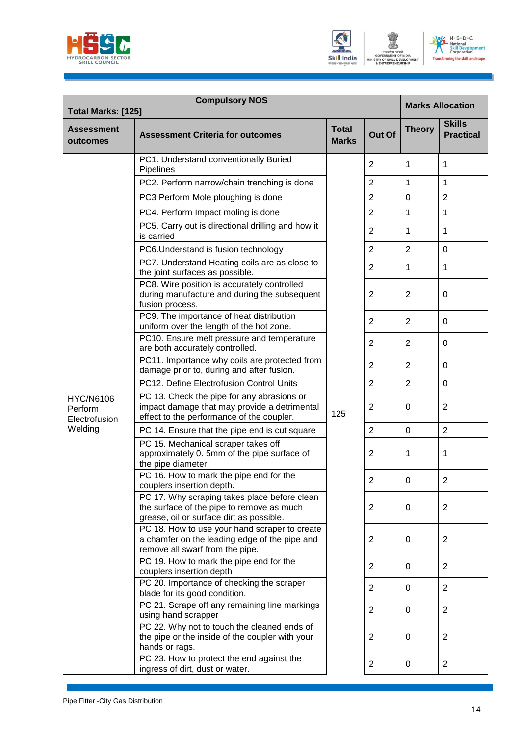





| <b>Compulsory NOS</b><br>Total Marks: [125]  |                                                                                                                                         |                              |                |                | <b>Marks Allocation</b>           |  |
|----------------------------------------------|-----------------------------------------------------------------------------------------------------------------------------------------|------------------------------|----------------|----------------|-----------------------------------|--|
| <b>Assessment</b><br>outcomes                | <b>Assessment Criteria for outcomes</b>                                                                                                 | <b>Total</b><br><b>Marks</b> | Out Of         | <b>Theory</b>  | <b>Skills</b><br><b>Practical</b> |  |
|                                              | PC1. Understand conventionally Buried<br>Pipelines                                                                                      |                              | 2              | 1              | 1                                 |  |
|                                              | PC2. Perform narrow/chain trenching is done                                                                                             |                              | $\overline{2}$ | 1              | $\mathbf{1}$                      |  |
|                                              | PC3 Perform Mole ploughing is done                                                                                                      |                              | $\overline{2}$ | $\mathbf 0$    | $\overline{2}$                    |  |
|                                              | PC4. Perform Impact moling is done                                                                                                      |                              | $\overline{2}$ | 1              | 1                                 |  |
|                                              | PC5. Carry out is directional drilling and how it<br>is carried                                                                         |                              | 2              | 1              | 1                                 |  |
|                                              | PC6. Understand is fusion technology                                                                                                    |                              | $\overline{2}$ | $\overline{2}$ | $\mathbf 0$                       |  |
|                                              | PC7. Understand Heating coils are as close to<br>the joint surfaces as possible.                                                        |                              | $\overline{2}$ | 1              | 1                                 |  |
|                                              | PC8. Wire position is accurately controlled<br>during manufacture and during the subsequent<br>fusion process.                          |                              | 2              | 2              | 0                                 |  |
|                                              | PC9. The importance of heat distribution<br>uniform over the length of the hot zone.                                                    | 125                          | $\overline{2}$ | 2              | 0                                 |  |
|                                              | PC10. Ensure melt pressure and temperature<br>are both accurately controlled.                                                           |                              | $\overline{2}$ | $\overline{2}$ | 0                                 |  |
|                                              | PC11. Importance why coils are protected from<br>damage prior to, during and after fusion.                                              |                              | 2              | $\overline{2}$ | 0                                 |  |
|                                              | PC12. Define Electrofusion Control Units                                                                                                |                              | $\overline{2}$ | $\overline{2}$ | 0                                 |  |
| <b>HYC/N6106</b><br>Perform<br>Electrofusion | PC 13. Check the pipe for any abrasions or<br>impact damage that may provide a detrimental<br>effect to the performance of the coupler. |                              | $\overline{2}$ | $\Omega$       | 2                                 |  |
| Welding                                      | PC 14. Ensure that the pipe end is cut square                                                                                           |                              | $\overline{2}$ | $\mathbf 0$    | $\overline{2}$                    |  |
|                                              | PC 15. Mechanical scraper takes off<br>approximately 0. 5mm of the pipe surface of<br>the pipe diameter.                                |                              | 2              | 1              | 1                                 |  |
|                                              | PC 16. How to mark the pipe end for the<br>couplers insertion depth.                                                                    |                              | $\overline{c}$ | 0              | $\overline{c}$                    |  |
|                                              | PC 17. Why scraping takes place before clean<br>the surface of the pipe to remove as much<br>grease, oil or surface dirt as possible.   |                              | $\overline{2}$ | $\mathbf 0$    | $\overline{2}$                    |  |
|                                              | PC 18. How to use your hand scraper to create<br>a chamfer on the leading edge of the pipe and<br>remove all swarf from the pipe.       |                              | $\overline{2}$ | $\mathbf 0$    | $\overline{2}$                    |  |
|                                              | PC 19. How to mark the pipe end for the<br>couplers insertion depth                                                                     |                              | $\overline{2}$ | $\mathbf 0$    | $\overline{2}$                    |  |
|                                              | PC 20. Importance of checking the scraper<br>blade for its good condition.                                                              |                              | $\overline{2}$ | $\mathbf 0$    | $\overline{2}$                    |  |
|                                              | PC 21. Scrape off any remaining line markings<br>using hand scrapper                                                                    |                              | $\overline{2}$ | $\mathbf 0$    | $\overline{2}$                    |  |
|                                              | PC 22. Why not to touch the cleaned ends of<br>the pipe or the inside of the coupler with your<br>hands or rags.                        |                              | 2              | 0              | $\overline{2}$                    |  |
|                                              | PC 23. How to protect the end against the<br>ingress of dirt, dust or water.                                                            |                              | $\overline{2}$ | 0              | $\overline{2}$                    |  |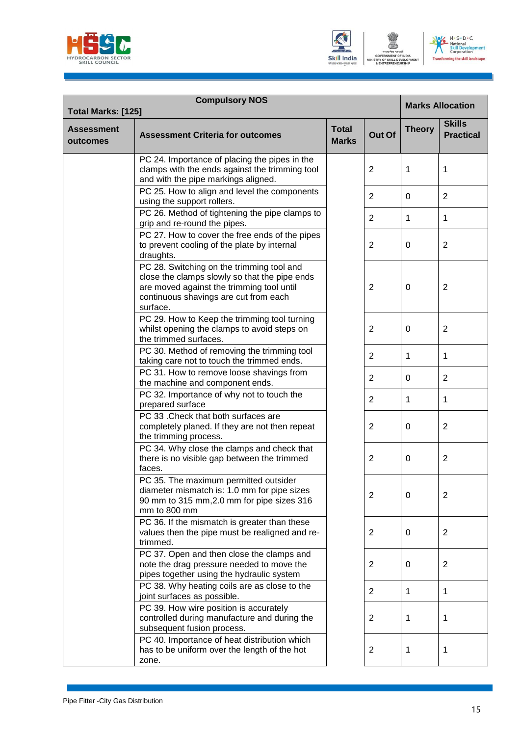





| <b>Compulsory NOS</b><br>Total Marks: [125] |                                                                                                                                                                                              |                              |                |               | <b>Marks Allocation</b>           |  |
|---------------------------------------------|----------------------------------------------------------------------------------------------------------------------------------------------------------------------------------------------|------------------------------|----------------|---------------|-----------------------------------|--|
| <b>Assessment</b><br>outcomes               | <b>Assessment Criteria for outcomes</b>                                                                                                                                                      | <b>Total</b><br><b>Marks</b> | Out Of         | <b>Theory</b> | <b>Skills</b><br><b>Practical</b> |  |
|                                             | PC 24. Importance of placing the pipes in the<br>clamps with the ends against the trimming tool<br>and with the pipe markings aligned.                                                       |                              | 2              | 1             | 1                                 |  |
|                                             | PC 25. How to align and level the components<br>using the support rollers.                                                                                                                   |                              | 2              | $\Omega$      | $\overline{2}$                    |  |
|                                             | PC 26. Method of tightening the pipe clamps to<br>grip and re-round the pipes.                                                                                                               |                              | $\overline{2}$ | 1             | 1                                 |  |
|                                             | PC 27. How to cover the free ends of the pipes<br>to prevent cooling of the plate by internal<br>draughts.                                                                                   |                              | 2              | $\Omega$      | $\overline{2}$                    |  |
|                                             | PC 28. Switching on the trimming tool and<br>close the clamps slowly so that the pipe ends<br>are moved against the trimming tool until<br>continuous shavings are cut from each<br>surface. |                              | $\overline{2}$ | 0             | $\overline{2}$                    |  |
|                                             | PC 29. How to Keep the trimming tool turning<br>whilst opening the clamps to avoid steps on<br>the trimmed surfaces.                                                                         |                              | 2              | $\Omega$      | $\overline{2}$                    |  |
|                                             | PC 30. Method of removing the trimming tool<br>taking care not to touch the trimmed ends.                                                                                                    |                              | $\overline{2}$ | 1             | $\mathbf{1}$                      |  |
|                                             | PC 31. How to remove loose shavings from<br>the machine and component ends.                                                                                                                  |                              | $\overline{2}$ | $\mathbf 0$   | $\overline{2}$                    |  |
|                                             | PC 32. Importance of why not to touch the<br>prepared surface                                                                                                                                |                              | $\overline{2}$ | 1             | $\mathbf{1}$                      |  |
|                                             | PC 33 .Check that both surfaces are<br>completely planed. If they are not then repeat<br>the trimming process.                                                                               |                              | 2              | $\Omega$      | $\overline{c}$                    |  |
|                                             | PC 34. Why close the clamps and check that<br>there is no visible gap between the trimmed<br>faces.                                                                                          |                              | $\overline{2}$ | $\Omega$      | $\overline{2}$                    |  |
|                                             | PC 35. The maximum permitted outsider<br>diameter mismatch is: 1.0 mm for pipe sizes<br>90 mm to 315 mm, 2.0 mm for pipe sizes 316<br>mm to 800 mm                                           |                              | 2              | 0             | 2                                 |  |
|                                             | PC 36. If the mismatch is greater than these<br>values then the pipe must be realigned and re-<br>trimmed.                                                                                   |                              | 2              | 0             | $\overline{2}$                    |  |
|                                             | PC 37. Open and then close the clamps and<br>note the drag pressure needed to move the<br>pipes together using the hydraulic system                                                          |                              | $\overline{2}$ | 0             | $\overline{2}$                    |  |
|                                             | PC 38. Why heating coils are as close to the<br>joint surfaces as possible.                                                                                                                  |                              | $\overline{2}$ | 1             | $\mathbf{1}$                      |  |
|                                             | PC 39. How wire position is accurately<br>controlled during manufacture and during the<br>subsequent fusion process.                                                                         |                              | 2              | 1             | 1                                 |  |
|                                             | PC 40. Importance of heat distribution which<br>has to be uniform over the length of the hot<br>zone.                                                                                        |                              | 2              | 1             | $\mathbf 1$                       |  |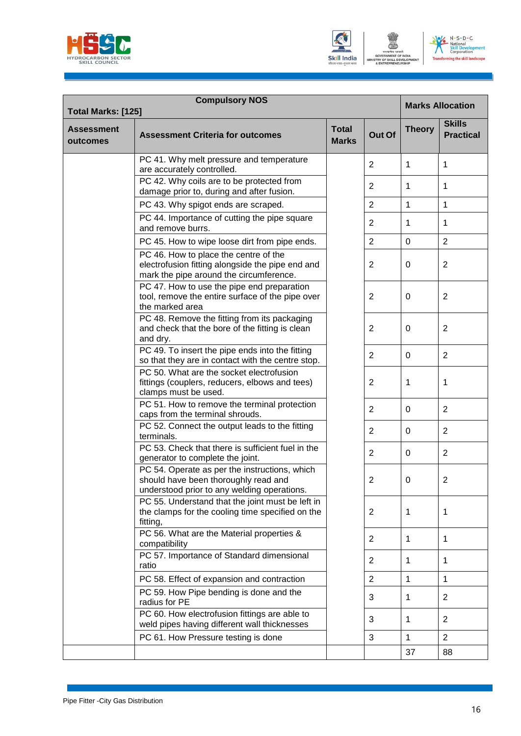





| <b>Compulsory NOS</b><br><b>Total Marks: [125]</b> |                                                                                                                                      |                              |                |               | <b>Marks Allocation</b>           |  |
|----------------------------------------------------|--------------------------------------------------------------------------------------------------------------------------------------|------------------------------|----------------|---------------|-----------------------------------|--|
| <b>Assessment</b><br>outcomes                      | <b>Assessment Criteria for outcomes</b>                                                                                              | <b>Total</b><br><b>Marks</b> | Out Of         | <b>Theory</b> | <b>Skills</b><br><b>Practical</b> |  |
|                                                    | PC 41. Why melt pressure and temperature<br>are accurately controlled.                                                               |                              | 2              | 1             | 1                                 |  |
|                                                    | PC 42. Why coils are to be protected from<br>damage prior to, during and after fusion.                                               |                              | 2              | 1             | 1                                 |  |
|                                                    | PC 43. Why spigot ends are scraped.                                                                                                  |                              | $\overline{2}$ | 1             | $\mathbf{1}$                      |  |
|                                                    | PC 44. Importance of cutting the pipe square<br>and remove burrs.                                                                    |                              | $\overline{2}$ | 1             | 1                                 |  |
|                                                    | PC 45. How to wipe loose dirt from pipe ends.                                                                                        |                              | $\overline{2}$ | $\mathbf 0$   | $\overline{2}$                    |  |
|                                                    | PC 46. How to place the centre of the<br>electrofusion fitting alongside the pipe end and<br>mark the pipe around the circumference. |                              | 2              | 0             | 2                                 |  |
|                                                    | PC 47. How to use the pipe end preparation<br>tool, remove the entire surface of the pipe over<br>the marked area                    |                              | 2              | 0             | 2                                 |  |
|                                                    | PC 48. Remove the fitting from its packaging<br>and check that the bore of the fitting is clean<br>and dry.                          |                              | 2              | 0             | 2                                 |  |
|                                                    | PC 49. To insert the pipe ends into the fitting<br>so that they are in contact with the centre stop.                                 |                              | $\overline{2}$ | $\Omega$      | $\overline{2}$                    |  |
|                                                    | PC 50. What are the socket electrofusion<br>fittings (couplers, reducers, elbows and tees)<br>clamps must be used.                   |                              | 2              | 1             | 1                                 |  |
|                                                    | PC 51. How to remove the terminal protection<br>caps from the terminal shrouds.                                                      |                              | $\overline{2}$ | $\Omega$      | $\overline{2}$                    |  |
|                                                    | PC 52. Connect the output leads to the fitting<br>terminals.                                                                         |                              | 2              | 0             | $\overline{2}$                    |  |
|                                                    | PC 53. Check that there is sufficient fuel in the<br>generator to complete the joint.                                                |                              | $\overline{2}$ | 0             | 2                                 |  |
|                                                    | PC 54. Operate as per the instructions, which<br>should have been thoroughly read and<br>understood prior to any welding operations. |                              | 2              | 0             | 2                                 |  |
|                                                    | PC 55. Understand that the joint must be left in<br>the clamps for the cooling time specified on the<br>fitting,                     |                              | 2              | 1             | 1                                 |  |
|                                                    | PC 56. What are the Material properties &<br>compatibility                                                                           |                              | $\overline{2}$ | 1             | 1                                 |  |
|                                                    | PC 57. Importance of Standard dimensional<br>ratio                                                                                   |                              | $\overline{2}$ | $\mathbf{1}$  | $\mathbf{1}$                      |  |
|                                                    | PC 58. Effect of expansion and contraction                                                                                           |                              | $\overline{2}$ | $\mathbf{1}$  | $\mathbf{1}$                      |  |
|                                                    | PC 59. How Pipe bending is done and the<br>radius for PE                                                                             |                              | 3              | $\mathbf{1}$  | 2                                 |  |
|                                                    | PC 60. How electrofusion fittings are able to<br>weld pipes having different wall thicknesses                                        |                              | 3              | 1             | 2                                 |  |
|                                                    | PC 61. How Pressure testing is done                                                                                                  |                              | $\sqrt{3}$     | $\mathbf{1}$  | $\overline{2}$                    |  |
|                                                    |                                                                                                                                      |                              |                | 37            | 88                                |  |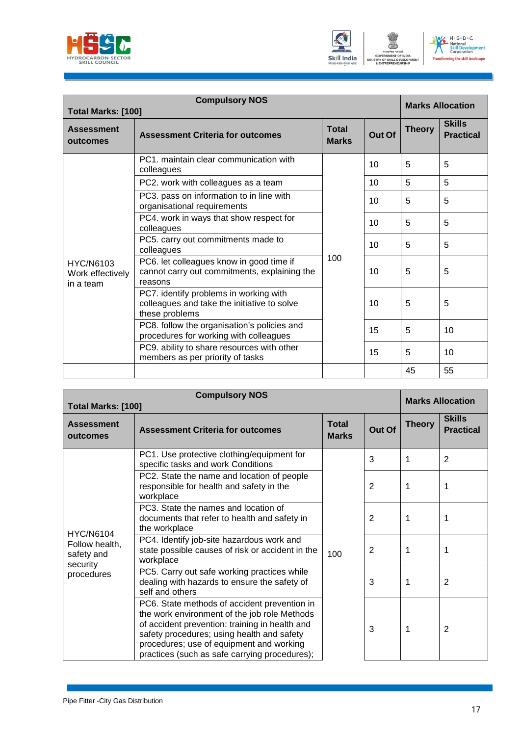





| <b>Compulsory NOS</b><br>Total Marks: [100]       |                                                                                                         |                              |        |               | <b>Marks Allocation</b>           |  |
|---------------------------------------------------|---------------------------------------------------------------------------------------------------------|------------------------------|--------|---------------|-----------------------------------|--|
| <b>Assessment</b><br>outcomes                     | <b>Assessment Criteria for outcomes</b>                                                                 | <b>Total</b><br><b>Marks</b> | Out Of | <b>Theory</b> | <b>Skills</b><br><b>Practical</b> |  |
|                                                   | PC1, maintain clear communication with<br>colleagues                                                    |                              | 10     | 5             | 5                                 |  |
|                                                   | PC2. work with colleagues as a team                                                                     | 100                          | 10     | 5             | 5                                 |  |
|                                                   | PC3. pass on information to in line with<br>organisational requirements                                 |                              | 10     | 5             | 5                                 |  |
|                                                   | PC4. work in ways that show respect for<br>colleagues                                                   |                              | 10     | 5             | 5                                 |  |
|                                                   | PC5. carry out commitments made to<br>colleagues                                                        |                              | 10     | 5             | 5                                 |  |
| <b>HYC/N6103</b><br>Work effectively<br>in a team | PC6. let colleagues know in good time if<br>cannot carry out commitments, explaining the<br>reasons     |                              | 10     | 5             | 5                                 |  |
|                                                   | PC7. identify problems in working with<br>colleagues and take the initiative to solve<br>these problems |                              | 10     | 5             | 5                                 |  |
|                                                   | PC8. follow the organisation's policies and<br>procedures for working with colleagues                   |                              | 15     | 5             | 10                                |  |
|                                                   | PC9. ability to share resources with other<br>members as per priority of tasks                          |                              | 15     | 5             | 10                                |  |
|                                                   |                                                                                                         |                              |        | 45            | 55                                |  |

| <b>Compulsory NOS</b><br>Total Marks: [100]                                |                                                                                                                                                                                                                                                                                           |                              |                | <b>Marks Allocation</b> |                                   |
|----------------------------------------------------------------------------|-------------------------------------------------------------------------------------------------------------------------------------------------------------------------------------------------------------------------------------------------------------------------------------------|------------------------------|----------------|-------------------------|-----------------------------------|
| <b>Assessment</b><br>outcomes                                              | <b>Assessment Criteria for outcomes</b>                                                                                                                                                                                                                                                   | <b>Total</b><br><b>Marks</b> | Out Of         | <b>Theory</b>           | <b>Skills</b><br><b>Practical</b> |
| <b>HYC/N6104</b><br>Follow health,<br>safety and<br>security<br>procedures | PC1. Use protective clothing/equipment for<br>specific tasks and work Conditions                                                                                                                                                                                                          |                              | 3              | 1                       | $\overline{2}$                    |
|                                                                            | PC2. State the name and location of people<br>responsible for health and safety in the<br>workplace                                                                                                                                                                                       | 100                          | $\overline{2}$ | 1                       |                                   |
|                                                                            | PC3. State the names and location of<br>documents that refer to health and safety in<br>the workplace                                                                                                                                                                                     |                              | $\overline{2}$ | 1                       | 1                                 |
|                                                                            | PC4. Identify job-site hazardous work and<br>state possible causes of risk or accident in the<br>workplace                                                                                                                                                                                |                              | 2              | 1                       | 1                                 |
|                                                                            | PC5. Carry out safe working practices while<br>dealing with hazards to ensure the safety of<br>self and others                                                                                                                                                                            |                              | 3              | 1                       | $\overline{2}$                    |
|                                                                            | PC6. State methods of accident prevention in<br>the work environment of the job role Methods<br>of accident prevention: training in health and<br>safety procedures; using health and safety<br>procedures; use of equipment and working<br>practices (such as safe carrying procedures); |                              | 3              | 1                       | $\overline{2}$                    |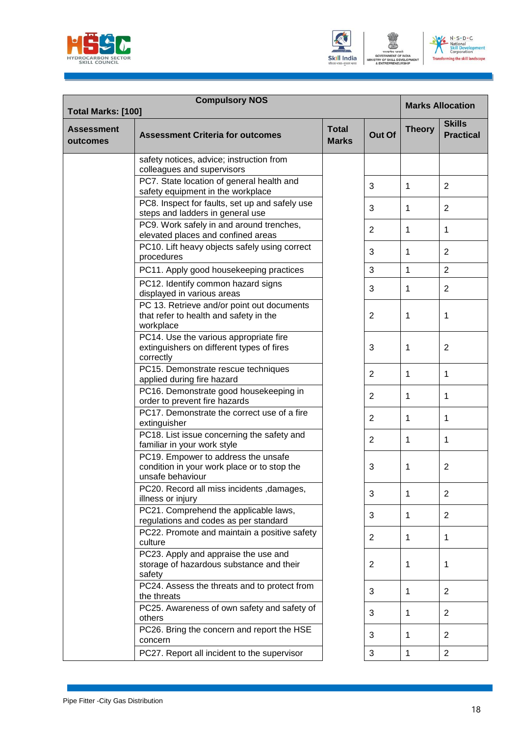





| <b>Compulsory NOS</b><br><b>Total Marks: [100]</b> |                                                                                                        |                              |                |               | <b>Marks Allocation</b>           |  |
|----------------------------------------------------|--------------------------------------------------------------------------------------------------------|------------------------------|----------------|---------------|-----------------------------------|--|
| <b>Assessment</b><br>outcomes                      | <b>Assessment Criteria for outcomes</b>                                                                | <b>Total</b><br><b>Marks</b> | Out Of         | <b>Theory</b> | <b>Skills</b><br><b>Practical</b> |  |
|                                                    | safety notices, advice; instruction from<br>colleagues and supervisors                                 |                              |                |               |                                   |  |
|                                                    | PC7. State location of general health and<br>safety equipment in the workplace                         |                              | 3              | 1             | $\overline{c}$                    |  |
|                                                    | PC8. Inspect for faults, set up and safely use<br>steps and ladders in general use                     |                              | 3              | 1             | $\overline{2}$                    |  |
|                                                    | PC9. Work safely in and around trenches,<br>elevated places and confined areas                         |                              | 2              | 1             | 1                                 |  |
|                                                    | PC10. Lift heavy objects safely using correct<br>procedures                                            |                              | 3              | 1             | $\overline{2}$                    |  |
|                                                    | PC11. Apply good housekeeping practices                                                                |                              | $\mathbf{3}$   | 1             | $\overline{2}$                    |  |
|                                                    | PC12. Identify common hazard signs<br>displayed in various areas                                       |                              | 3              | 1             | $\overline{2}$                    |  |
|                                                    | PC 13. Retrieve and/or point out documents<br>that refer to health and safety in the<br>workplace      |                              | 2              | 1             | $\mathbf 1$                       |  |
|                                                    | PC14. Use the various appropriate fire<br>extinguishers on different types of fires<br>correctly       |                              | 3              | 1             | $\overline{2}$                    |  |
|                                                    | PC15. Demonstrate rescue techniques<br>applied during fire hazard                                      |                              | 2              | 1             | $\mathbf{1}$                      |  |
|                                                    | PC16. Demonstrate good housekeeping in<br>order to prevent fire hazards                                |                              | 2              | 1             | 1                                 |  |
|                                                    | PC17. Demonstrate the correct use of a fire<br>extinguisher                                            |                              | 2              | 1             | $\mathbf{1}$                      |  |
|                                                    | PC18. List issue concerning the safety and<br>familiar in your work style                              |                              | $\overline{2}$ | 1             | 1                                 |  |
|                                                    | PC19. Empower to address the unsafe<br>condition in your work place or to stop the<br>unsafe behaviour |                              | 3              | 1             | $\overline{2}$                    |  |
|                                                    | PC20. Record all miss incidents , damages,<br>illness or injury                                        |                              | 3              | 1             | $\overline{2}$                    |  |
|                                                    | PC21. Comprehend the applicable laws,<br>regulations and codes as per standard                         |                              | 3              | 1             | $\overline{2}$                    |  |
|                                                    | PC22. Promote and maintain a positive safety<br>culture                                                |                              | 2              | 1             | 1                                 |  |
|                                                    | PC23. Apply and appraise the use and<br>storage of hazardous substance and their<br>safety             |                              | 2              | 1             | $\mathbf 1$                       |  |
|                                                    | PC24. Assess the threats and to protect from<br>the threats                                            |                              | 3              | 1             | $\overline{2}$                    |  |
|                                                    | PC25. Awareness of own safety and safety of<br>others                                                  |                              | 3              | $\mathbf{1}$  | $\overline{2}$                    |  |
|                                                    | PC26. Bring the concern and report the HSE<br>concern                                                  |                              | 3              | 1             | $\overline{2}$                    |  |
|                                                    | PC27. Report all incident to the supervisor                                                            |                              | 3              | $\mathbf{1}$  | $\overline{2}$                    |  |